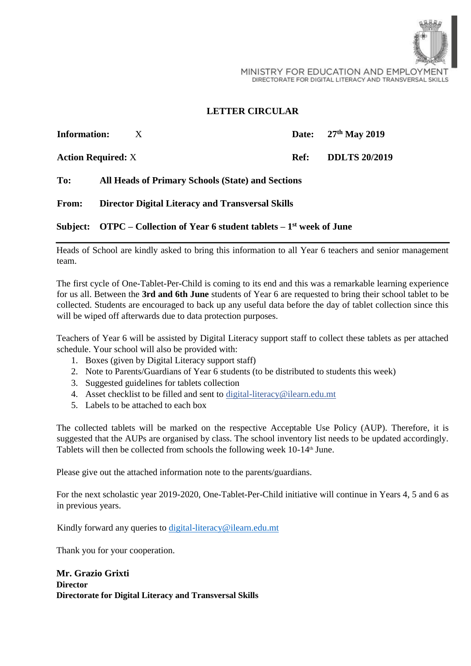

## **LETTER CIRCULAR**

| <b>Information:</b>       | X                                                                                                    |      | Date: 27th May 2019  |
|---------------------------|------------------------------------------------------------------------------------------------------|------|----------------------|
| <b>Action Required:</b> X |                                                                                                      | Ref: | <b>DDLTS 20/2019</b> |
| To:                       | <b>All Heads of Primary Schools (State) and Sections</b>                                             |      |                      |
| <b>From:</b>              | <b>Director Digital Literacy and Transversal Skills</b>                                              |      |                      |
|                           | Subject: $\qquadtext{OTPC} - \text{Collection of Year 6 student tablets} - 1^\text{st}$ week of June |      |                      |

Heads of School are kindly asked to bring this information to all Year 6 teachers and senior management team.

The first cycle of One-Tablet-Per-Child is coming to its end and this was a remarkable learning experience for us all. Between the **3rd and 6th June** students of Year 6 are requested to bring their school tablet to be collected. Students are encouraged to back up any useful data before the day of tablet collection since this will be wiped off afterwards due to data protection purposes.

Teachers of Year 6 will be assisted by Digital Literacy support staff to collect these tablets as per attached schedule. Your school will also be provided with:

- 1. Boxes (given by Digital Literacy support staff)
- 2. Note to Parents/Guardians of Year 6 students (to be distributed to students this week)
- 3. Suggested guidelines for tablets collection
- 4. Asset checklist to be filled and sent to digital-literacy@ilearn.edu.mt
- 5. Labels to be attached to each box

The collected tablets will be marked on the respective Acceptable Use Policy (AUP). Therefore, it is suggested that the AUPs are organised by class. The school inventory list needs to be updated accordingly. Tablets will then be collected from schools the following week 10-14<sup>th</sup> June.

Please give out the attached information note to the parents/guardians.

For the next scholastic year 2019-2020, One-Tablet-Per-Child initiative will continue in Years 4, 5 and 6 as in previous years.

Kindly forward any queries to digital-literacy@ilearn.edu.mt

Thank you for your cooperation.

**Mr. Grazio Grixti Director Directorate for Digital Literacy and Transversal Skills**